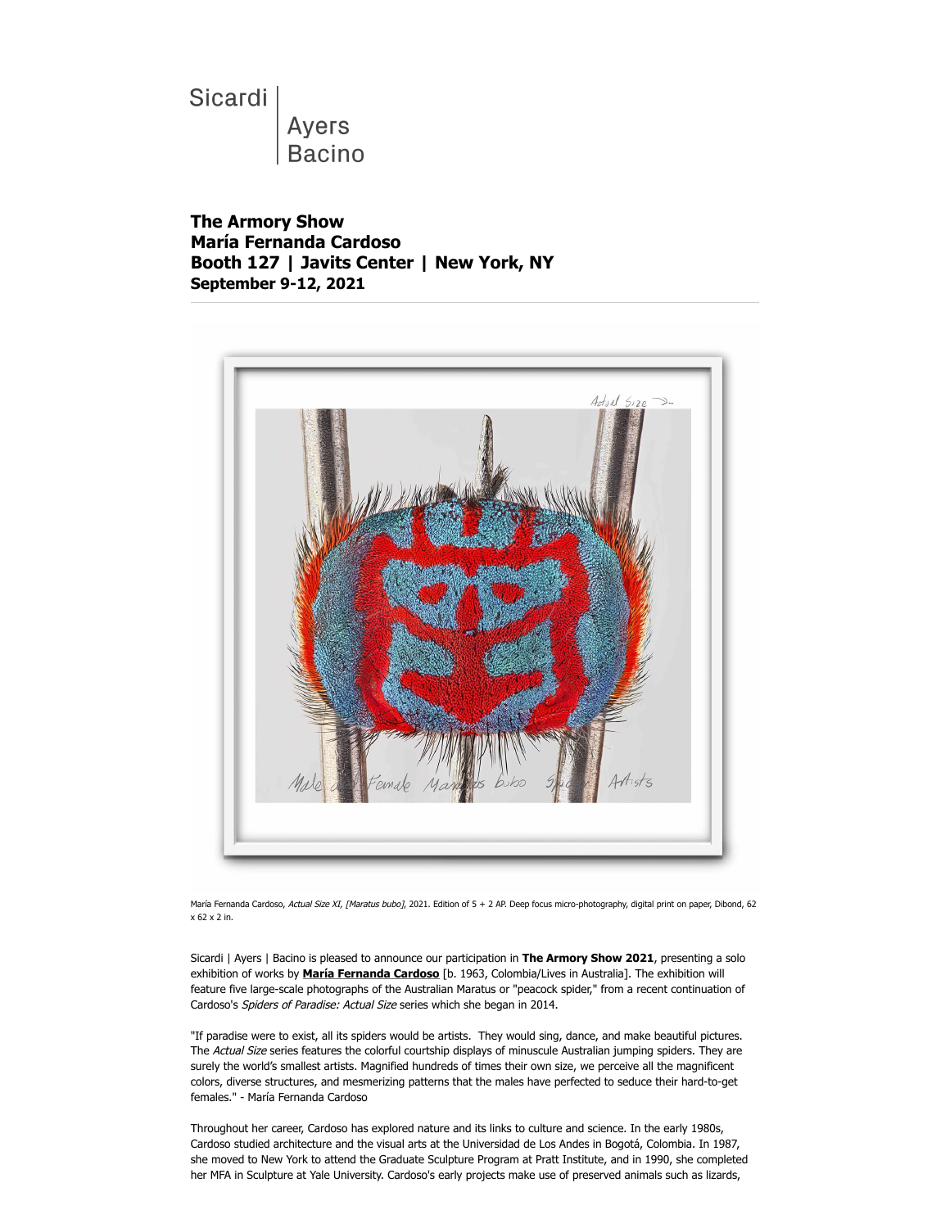Sicardi

Ayers **Bacino** 

**The Armory Show María Fernanda Cardoso Booth 127 | Javits Center | New York, NY September 9-12, 2021**



María Fernanda Cardoso, Actual Size XI, [Maratus bubo], 2021. Edition of 5 + 2 AP. Deep focus micro-photography, digital print on paper, Dibond, 62 x 62 x 2 in.

Sicardi | Ayers | Bacino is pleased to announce our participation in **The Armory Show 2021**, presenting a solo exhibition of works by **[María Fernanda Cardoso](https://ennouncement.exhibit-e.com/t/y-l-oddohd-l-t/)** [b. 1963, Colombia/Lives in Australia]. The exhibition will feature five large-scale photographs of the Australian Maratus or "peacock spider," from a recent continuation of Cardoso's Spiders of Paradise: Actual Size series which she began in 2014.

"If paradise were to exist, all its spiders would be artists. They would sing, dance, and make beautiful pictures. The Actual Size series features the colorful courtship displays of minuscule Australian jumping spiders. They are surely the world's smallest artists. Magnified hundreds of times their own size, we perceive all the magnificent colors, diverse structures, and mesmerizing patterns that the males have perfected to seduce their hard-to-get females." - María Fernanda Cardoso

Throughout her career, Cardoso has explored nature and its links to culture and science. In the early 1980s, Cardoso studied architecture and the visual arts at the Universidad de Los Andes in Bogotá, Colombia. In 1987, she moved to New York to attend the Graduate Sculpture Program at Pratt Institute, and in 1990, she completed her MFA in Sculpture at Yale University. Cardoso's early projects make use of preserved animals such as lizards,